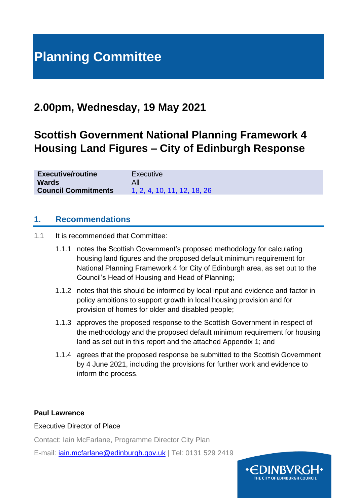# **Planning Committee**

## **2.00pm, Wednesday, 19 May 2021**

## **Scottish Government National Planning Framework 4 Housing Land Figures – City of Edinburgh Response**

| <b>Executive/routine</b>   | Executive                   |
|----------------------------|-----------------------------|
| <b>Wards</b>               | All                         |
| <b>Council Commitments</b> | 1, 2, 4, 10, 11, 12, 18, 26 |

### **1. Recommendations**

- 1.1 It is recommended that Committee:
	- 1.1.1 notes the Scottish Government's proposed methodology for calculating housing land figures and the proposed default minimum requirement for National Planning Framework 4 for City of Edinburgh area, as set out to the Council's Head of Housing and Head of Planning;
	- 1.1.2 notes that this should be informed by local input and evidence and factor in policy ambitions to support growth in local housing provision and for provision of homes for older and disabled people;
	- 1.1.3 approves the proposed response to the Scottish Government in respect of the methodology and the proposed default minimum requirement for housing land as set out in this report and the attached Appendix 1; and
	- 1.1.4 agrees that the proposed response be submitted to the Scottish Government by 4 June 2021, including the provisions for further work and evidence to inform the process.

#### **Paul Lawrence**

#### Executive Director of Place

Contact: Iain McFarlane, Programme Director City Plan

E-mail: [iain.mcfarlane@edinburgh.gov.uk](mailto:iain.mcfarlane@edinburgh.gov.uk) | Tel: 0131 529 2419

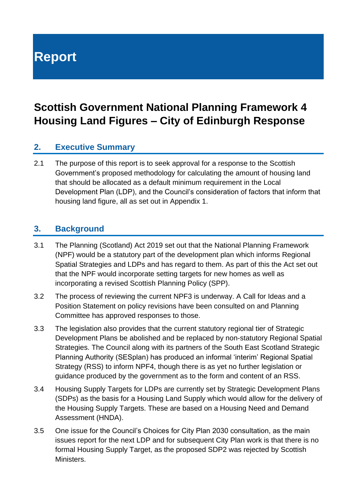**Report**

## **Scottish Government National Planning Framework 4 Housing Land Figures – City of Edinburgh Response**

## **2. Executive Summary**

2.1 The purpose of this report is to seek approval for a response to the Scottish Government's proposed methodology for calculating the amount of housing land that should be allocated as a default minimum requirement in the Local Development Plan (LDP), and the Council's consideration of factors that inform that housing land figure, all as set out in Appendix 1.

## **3. Background**

- 3.1 The Planning (Scotland) Act 2019 set out that the National Planning Framework (NPF) would be a statutory part of the development plan which informs Regional Spatial Strategies and LDPs and has regard to them. As part of this the Act set out that the NPF would incorporate setting targets for new homes as well as incorporating a revised Scottish Planning Policy (SPP).
- 3.2 The process of reviewing the current NPF3 is underway. A Call for Ideas and a Position Statement on policy revisions have been consulted on and Planning Committee has approved responses to those.
- 3.3 The legislation also provides that the current statutory regional tier of Strategic Development Plans be abolished and be replaced by non-statutory Regional Spatial Strategies. The Council along with its partners of the South East Scotland Strategic Planning Authority (SESplan) has produced an informal 'interim' Regional Spatial Strategy (RSS) to inform NPF4, though there is as yet no further legislation or guidance produced by the government as to the form and content of an RSS.
- 3.4 Housing Supply Targets for LDPs are currently set by Strategic Development Plans (SDPs) as the basis for a Housing Land Supply which would allow for the delivery of the Housing Supply Targets. These are based on a Housing Need and Demand Assessment (HNDA).
- 3.5 One issue for the Council's Choices for City Plan 2030 consultation, as the main issues report for the next LDP and for subsequent City Plan work is that there is no formal Housing Supply Target, as the proposed SDP2 was rejected by Scottish Ministers.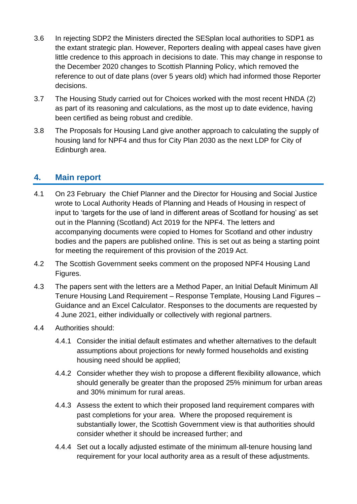- 3.6 In rejecting SDP2 the Ministers directed the SESplan local authorities to SDP1 as the extant strategic plan. However, Reporters dealing with appeal cases have given little credence to this approach in decisions to date. This may change in response to the December 2020 changes to Scottish Planning Policy, which removed the reference to out of date plans (over 5 years old) which had informed those Reporter decisions.
- 3.7 The Housing Study carried out for Choices worked with the most recent HNDA (2) as part of its reasoning and calculations, as the most up to date evidence, having been certified as being robust and credible.
- 3.8 The Proposals for Housing Land give another approach to calculating the supply of housing land for NPF4 and thus for City Plan 2030 as the next LDP for City of Edinburgh area.

## **4. Main report**

- 4.1 On 23 February the Chief Planner and the Director for Housing and Social Justice wrote to Local Authority Heads of Planning and Heads of Housing in respect of input to 'targets for the use of land in different areas of Scotland for housing' as set out in the Planning (Scotland) Act 2019 for the NPF4. The letters and accompanying documents were copied to Homes for Scotland and other industry bodies and the papers are published online. This is set out as being a starting point for meeting the requirement of this provision of the 2019 Act.
- 4.2 The Scottish Government seeks comment on the proposed NPF4 Housing Land Figures.
- 4.3 The papers sent with the letters are a Method Paper, an Initial Default Minimum All Tenure Housing Land Requirement – Response Template, Housing Land Figures – Guidance and an Excel Calculator. Responses to the documents are requested by 4 June 2021, either individually or collectively with regional partners.
- 4.4 Authorities should:
	- 4.4.1 Consider the initial default estimates and whether alternatives to the default assumptions about projections for newly formed households and existing housing need should be applied;
	- 4.4.2 Consider whether they wish to propose a different flexibility allowance, which should generally be greater than the proposed 25% minimum for urban areas and 30% minimum for rural areas.
	- 4.4.3 Assess the extent to which their proposed land requirement compares with past completions for your area. Where the proposed requirement is substantially lower, the Scottish Government view is that authorities should consider whether it should be increased further; and
	- 4.4.4 Set out a locally adjusted estimate of the minimum all-tenure housing land requirement for your local authority area as a result of these adjustments.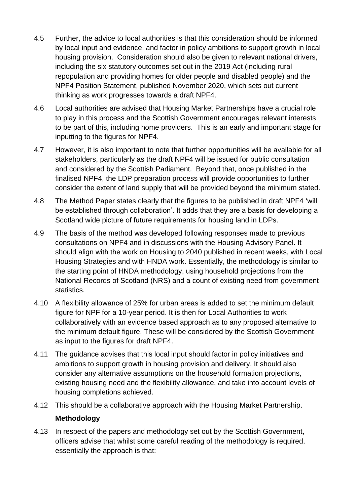- 4.5 Further, the advice to local authorities is that this consideration should be informed by local input and evidence, and factor in policy ambitions to support growth in local housing provision. Consideration should also be given to relevant national drivers, including the six statutory outcomes set out in the 2019 Act (including rural repopulation and providing homes for older people and disabled people) and the NPF4 Position Statement, published November 2020, which sets out current thinking as work progresses towards a draft NPF4.
- 4.6 Local authorities are advised that Housing Market Partnerships have a crucial role to play in this process and the Scottish Government encourages relevant interests to be part of this, including home providers. This is an early and important stage for inputting to the figures for NPF4.
- 4.7 However, it is also important to note that further opportunities will be available for all stakeholders, particularly as the draft NPF4 will be issued for public consultation and considered by the Scottish Parliament. Beyond that, once published in the finalised NPF4, the LDP preparation process will provide opportunities to further consider the extent of land supply that will be provided beyond the minimum stated.
- 4.8 The Method Paper states clearly that the figures to be published in draft NPF4 'will be established through collaboration'. It adds that they are a basis for developing a Scotland wide picture of future requirements for housing land in LDPs.
- 4.9 The basis of the method was developed following responses made to previous consultations on NPF4 and in discussions with the Housing Advisory Panel. It should align with the work on Housing to 2040 published in recent weeks, with Local Housing Strategies and with HNDA work. Essentially, the methodology is similar to the starting point of HNDA methodology, using household projections from the National Records of Scotland (NRS) and a count of existing need from government statistics.
- 4.10 A flexibility allowance of 25% for urban areas is added to set the minimum default figure for NPF for a 10-year period. It is then for Local Authorities to work collaboratively with an evidence based approach as to any proposed alternative to the minimum default figure. These will be considered by the Scottish Government as input to the figures for draft NPF4.
- 4.11 The guidance advises that this local input should factor in policy initiatives and ambitions to support growth in housing provision and delivery. It should also consider any alternative assumptions on the household formation projections, existing housing need and the flexibility allowance, and take into account levels of housing completions achieved.
- 4.12 This should be a collaborative approach with the Housing Market Partnership.

#### **Methodology**

4.13 In respect of the papers and methodology set out by the Scottish Government, officers advise that whilst some careful reading of the methodology is required, essentially the approach is that: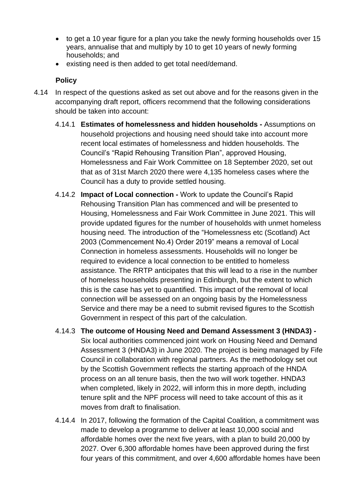- to get a 10 year figure for a plan you take the newly forming households over 15 years, annualise that and multiply by 10 to get 10 years of newly forming households; and
- existing need is then added to get total need/demand.

### **Policy**

- 4.14 In respect of the questions asked as set out above and for the reasons given in the accompanying draft report, officers recommend that the following considerations should be taken into account:
	- 4.14.1 **Estimates of homelessness and hidden households -** Assumptions on household projections and housing need should take into account more recent local estimates of homelessness and hidden households. The Council's "Rapid Rehousing Transition Plan", approved Housing, Homelessness and Fair Work Committee on 18 September 2020, set out that as of 31st March 2020 there were 4,135 homeless cases where the Council has a duty to provide settled housing.
	- 4.14.2 **Impact of Local connection -** Work to update the Council's Rapid Rehousing Transition Plan has commenced and will be presented to Housing, Homelessness and Fair Work Committee in June 2021. This will provide updated figures for the number of households with unmet homeless housing need. The introduction of the "Homelessness etc (Scotland) Act 2003 (Commencement No.4) Order 2019" means a removal of Local Connection in homeless assessments. Households will no longer be required to evidence a local connection to be entitled to homeless assistance. The RRTP anticipates that this will lead to a rise in the number of homeless households presenting in Edinburgh, but the extent to which this is the case has yet to quantified. This impact of the removal of local connection will be assessed on an ongoing basis by the Homelessness Service and there may be a need to submit revised figures to the Scottish Government in respect of this part of the calculation.
	- 4.14.3 **The outcome of Housing Need and Demand Assessment 3 (HNDA3) -** Six local authorities commenced joint work on Housing Need and Demand Assessment 3 (HNDA3) in June 2020. The project is being managed by Fife Council in collaboration with regional partners. As the methodology set out by the Scottish Government reflects the starting approach of the HNDA process on an all tenure basis, then the two will work together. HNDA3 when completed, likely in 2022, will inform this in more depth, including tenure split and the NPF process will need to take account of this as it moves from draft to finalisation.
	- 4.14.4 In 2017, following the formation of the Capital Coalition, a commitment was made to develop a programme to deliver at least 10,000 social and affordable homes over the next five years, with a plan to build 20,000 by 2027. Over 6,300 affordable homes have been approved during the first four years of this commitment, and over 4,600 affordable homes have been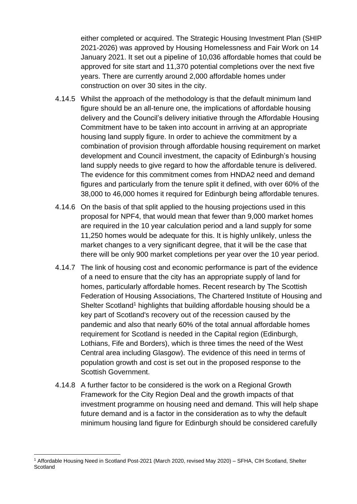either completed or acquired. The Strategic Housing Investment Plan (SHIP 2021-2026) was approved by Housing Homelessness and Fair Work on 14 January 2021. It set out a pipeline of 10,036 affordable homes that could be approved for site start and 11,370 potential completions over the next five years. There are currently around 2,000 affordable homes under construction on over 30 sites in the city.

- 4.14.5 Whilst the approach of the methodology is that the default minimum land figure should be an all-tenure one, the implications of affordable housing delivery and the Council's delivery initiative through the Affordable Housing Commitment have to be taken into account in arriving at an appropriate housing land supply figure. In order to achieve the commitment by a combination of provision through affordable housing requirement on market development and Council investment, the capacity of Edinburgh's housing land supply needs to give regard to how the affordable tenure is delivered. The evidence for this commitment comes from HNDA2 need and demand figures and particularly from the tenure split it defined, with over 60% of the 38,000 to 46,000 homes it required for Edinburgh being affordable tenures.
- 4.14.6 On the basis of that split applied to the housing projections used in this proposal for NPF4, that would mean that fewer than 9,000 market homes are required in the 10 year calculation period and a land supply for some 11,250 homes would be adequate for this. It is highly unlikely, unless the market changes to a very significant degree, that it will be the case that there will be only 900 market completions per year over the 10 year period.
- 4.14.7 The link of housing cost and economic performance is part of the evidence of a need to ensure that the city has an appropriate supply of land for homes, particularly affordable homes. Recent research by The Scottish Federation of Housing Associations, The Chartered Institute of Housing and Shelter Scotland<sup>1</sup> highlights that building affordable housing should be a key part of Scotland's recovery out of the recession caused by the pandemic and also that nearly 60% of the total annual affordable homes requirement for Scotland is needed in the Capital region (Edinburgh, Lothians, Fife and Borders), which is three times the need of the West Central area including Glasgow). The evidence of this need in terms of population growth and cost is set out in the proposed response to the Scottish Government.
- 4.14.8 A further factor to be considered is the work on a Regional Growth Framework for the City Region Deal and the growth impacts of that investment programme on housing need and demand. This will help shape future demand and is a factor in the consideration as to why the default minimum housing land figure for Edinburgh should be considered carefully

<sup>1</sup> Affordable Housing Need in Scotland Post-2021 (March 2020, revised May 2020) – SFHA, CIH Scotland, Shelter **Scotland**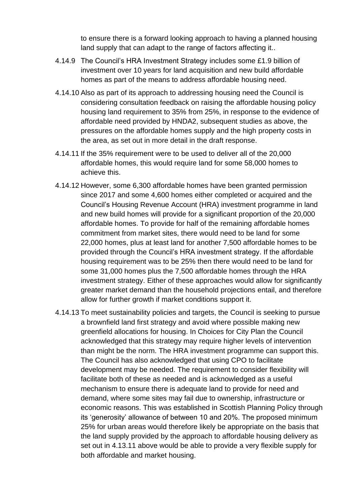to ensure there is a forward looking approach to having a planned housing land supply that can adapt to the range of factors affecting it..

- 4.14.9 The Council's HRA Investment Strategy includes some £1.9 billion of investment over 10 years for land acquisition and new build affordable homes as part of the means to address affordable housing need.
- 4.14.10 Also as part of its approach to addressing housing need the Council is considering consultation feedback on raising the affordable housing policy housing land requirement to 35% from 25%, in response to the evidence of affordable need provided by HNDA2, subsequent studies as above, the pressures on the affordable homes supply and the high property costs in the area, as set out in more detail in the draft response.
- 4.14.11 If the 35% requirement were to be used to deliver all of the 20,000 affordable homes, this would require land for some 58,000 homes to achieve this.
- 4.14.12 However, some 6,300 affordable homes have been granted permission since 2017 and some 4,600 homes either completed or acquired and the Council's Housing Revenue Account (HRA) investment programme in land and new build homes will provide for a significant proportion of the 20,000 affordable homes. To provide for half of the remaining affordable homes commitment from market sites, there would need to be land for some 22,000 homes, plus at least land for another 7,500 affordable homes to be provided through the Council's HRA investment strategy. If the affordable housing requirement was to be 25% then there would need to be land for some 31,000 homes plus the 7,500 affordable homes through the HRA investment strategy. Either of these approaches would allow for significantly greater market demand than the household projections entail, and therefore allow for further growth if market conditions support it.
- 4.14.13 To meet sustainability policies and targets, the Council is seeking to pursue a brownfield land first strategy and avoid where possible making new greenfield allocations for housing. In Choices for City Plan the Council acknowledged that this strategy may require higher levels of intervention than might be the norm. The HRA investment programme can support this. The Council has also acknowledged that using CPO to facilitate development may be needed. The requirement to consider flexibility will facilitate both of these as needed and is acknowledged as a useful mechanism to ensure there is adequate land to provide for need and demand, where some sites may fail due to ownership, infrastructure or economic reasons. This was established in Scottish Planning Policy through its 'generosity' allowance of between 10 and 20%. The proposed minimum 25% for urban areas would therefore likely be appropriate on the basis that the land supply provided by the approach to affordable housing delivery as set out in 4.13.11 above would be able to provide a very flexible supply for both affordable and market housing.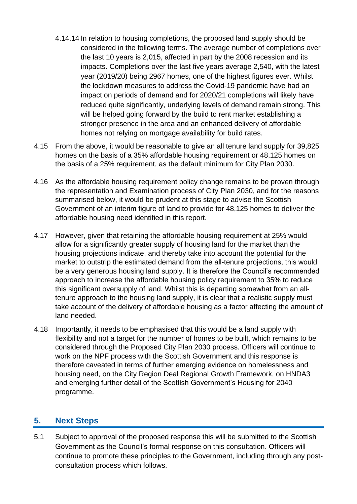- 4.14.14 In relation to housing completions, the proposed land supply should be considered in the following terms. The average number of completions over the last 10 years is 2,015, affected in part by the 2008 recession and its impacts. Completions over the last five years average 2,540, with the latest year (2019/20) being 2967 homes, one of the highest figures ever. Whilst the lockdown measures to address the Covid-19 pandemic have had an impact on periods of demand and for 2020/21 completions will likely have reduced quite significantly, underlying levels of demand remain strong. This will be helped going forward by the build to rent market establishing a stronger presence in the area and an enhanced delivery of affordable homes not relying on mortgage availability for build rates.
- 4.15 From the above, it would be reasonable to give an all tenure land supply for 39,825 homes on the basis of a 35% affordable housing requirement or 48,125 homes on the basis of a 25% requirement, as the default minimum for City Plan 2030.
- 4.16 As the affordable housing requirement policy change remains to be proven through the representation and Examination process of City Plan 2030, and for the reasons summarised below, it would be prudent at this stage to advise the Scottish Government of an interim figure of land to provide for 48,125 homes to deliver the affordable housing need identified in this report.
- 4.17 However, given that retaining the affordable housing requirement at 25% would allow for a significantly greater supply of housing land for the market than the housing projections indicate, and thereby take into account the potential for the market to outstrip the estimated demand from the all-tenure projections, this would be a very generous housing land supply. It is therefore the Council's recommended approach to increase the affordable housing policy requirement to 35% to reduce this significant oversupply of land. Whilst this is departing somewhat from an alltenure approach to the housing land supply, it is clear that a realistic supply must take account of the delivery of affordable housing as a factor affecting the amount of land needed.
- 4.18 Importantly, it needs to be emphasised that this would be a land supply with flexibility and not a target for the number of homes to be built, which remains to be considered through the Proposed City Plan 2030 process. Officers will continue to work on the NPF process with the Scottish Government and this response is therefore caveated in terms of further emerging evidence on homelessness and housing need, on the City Region Deal Regional Growth Framework, on HNDA3 and emerging further detail of the Scottish Government's Housing for 2040 programme.

## **5. Next Steps**

5.1 Subject to approval of the proposed response this will be submitted to the Scottish Government as the Council's formal response on this consultation. Officers will continue to promote these principles to the Government, including through any postconsultation process which follows.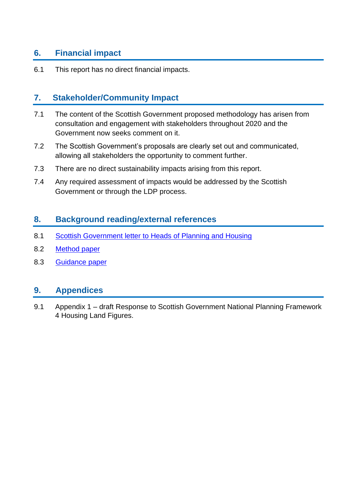## **6. Financial impact**

6.1 This report has no direct financial impacts.

## **7. Stakeholder/Community Impact**

- 7.1 The content of the Scottish Government proposed methodology has arisen from consultation and engagement with stakeholders throughout 2020 and the Government now seeks comment on it.
- 7.2 The Scottish Government's proposals are clearly set out and communicated, allowing all stakeholders the opportunity to comment further.
- 7.3 There are no direct sustainability impacts arising from this report.
- 7.4 Any required assessment of impacts would be addressed by the Scottish Government or through the LDP process.

## **8. Background reading/external references**

- 8.1 [Scottish Government letter to Heads of Planning and Housing](https://www.transformingplanning.scot/media/2176/npf4-housing-land-figures-letter-to-stakeholders.pdf)
- 8.2 [Method paper](https://www.transformingplanning.scot/media/2175/npf4-housing-land-figures-method-paper.pdf)
- 8.3 [Guidance paper](https://www.transformingplanning.scot/media/2178/npf4-housing-land-figures-guidance.pdf)

### **9. Appendices**

9.1 Appendix 1 – draft Response to Scottish Government National Planning Framework 4 Housing Land Figures.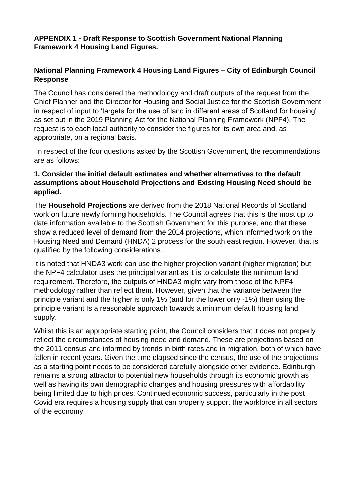#### **APPENDIX 1 - Draft Response to Scottish Government National Planning Framework 4 Housing Land Figures.**

### **National Planning Framework 4 Housing Land Figures – City of Edinburgh Council Response**

The Council has considered the methodology and draft outputs of the request from the Chief Planner and the Director for Housing and Social Justice for the Scottish Government in respect of input to 'targets for the use of land in different areas of Scotland for housing' as set out in the 2019 Planning Act for the National Planning Framework (NPF4). The request is to each local authority to consider the figures for its own area and, as appropriate, on a regional basis.

In respect of the four questions asked by the Scottish Government, the recommendations are as follows:

#### **1. Consider the initial default estimates and whether alternatives to the default assumptions about Household Projections and Existing Housing Need should be applied.**

The **Household Projections** are derived from the 2018 National Records of Scotland work on future newly forming households. The Council agrees that this is the most up to date information available to the Scottish Government for this purpose, and that these show a reduced level of demand from the 2014 projections, which informed work on the Housing Need and Demand (HNDA) 2 process for the south east region. However, that is qualified by the following considerations.

It is noted that HNDA3 work can use the higher projection variant (higher migration) but the NPF4 calculator uses the principal variant as it is to calculate the minimum land requirement. Therefore, the outputs of HNDA3 might vary from those of the NPF4 methodology rather than reflect them. However, given that the variance between the principle variant and the higher is only 1% (and for the lower only -1%) then using the principle variant Is a reasonable approach towards a minimum default housing land supply.

Whilst this is an appropriate starting point, the Council considers that it does not properly reflect the circumstances of housing need and demand. These are projections based on the 2011 census and informed by trends in birth rates and in migration, both of which have fallen in recent years. Given the time elapsed since the census, the use of the projections as a starting point needs to be considered carefully alongside other evidence. Edinburgh remains a strong attractor to potential new households through its economic growth as well as having its own demographic changes and housing pressures with affordability being limited due to high prices. Continued economic success, particularly in the post Covid era requires a housing supply that can properly support the workforce in all sectors of the economy.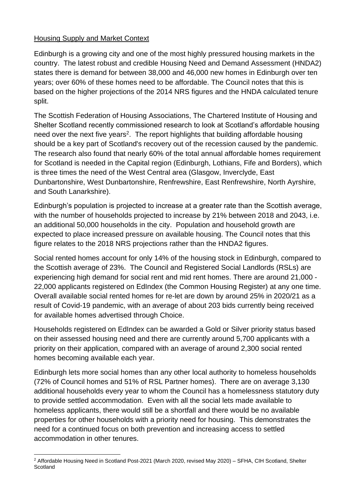#### Housing Supply and Market Context

Edinburgh is a growing city and one of the most highly pressured housing markets in the country. The latest robust and credible Housing Need and Demand Assessment (HNDA2) states there is demand for between 38,000 and 46,000 new homes in Edinburgh over ten years; over 60% of these homes need to be affordable. The Council notes that this is based on the higher projections of the 2014 NRS figures and the HNDA calculated tenure split.

The Scottish Federation of Housing Associations, The Chartered Institute of Housing and Shelter Scotland recently commissioned research to look at Scotland's affordable housing need over the next five years<sup>2</sup>. The report highlights that building affordable housing should be a key part of Scotland's recovery out of the recession caused by the pandemic. The research also found that nearly 60% of the total annual affordable homes requirement for Scotland is needed in the Capital region (Edinburgh, Lothians, Fife and Borders), which is three times the need of the West Central area (Glasgow, Inverclyde, East Dunbartonshire, West Dunbartonshire, Renfrewshire, East Renfrewshire, North Ayrshire, and South Lanarkshire).

Edinburgh's population is projected to increase at a greater rate than the Scottish average, with the number of households projected to increase by 21% between 2018 and 2043, i.e. an additional 50,000 households in the city. Population and household growth are expected to place increased pressure on available housing. The Council notes that this figure relates to the 2018 NRS projections rather than the HNDA2 figures.

Social rented homes account for only 14% of the housing stock in Edinburgh, compared to the Scottish average of 23%. The Council and Registered Social Landlords (RSLs) are experiencing high demand for social rent and mid rent homes. There are around 21,000 - 22,000 applicants registered on EdIndex (the Common Housing Register) at any one time. Overall available social rented homes for re-let are down by around 25% in 2020/21 as a result of Covid-19 pandemic, with an average of about 203 bids currently being received for available homes advertised through Choice.

Households registered on EdIndex can be awarded a Gold or Silver priority status based on their assessed housing need and there are currently around 5,700 applicants with a priority on their application, compared with an average of around 2,300 social rented homes becoming available each year.

Edinburgh lets more social homes than any other local authority to homeless households (72% of Council homes and 51% of RSL Partner homes). There are on average 3,130 additional households every year to whom the Council has a homelessness statutory duty to provide settled accommodation. Even with all the social lets made available to homeless applicants, there would still be a shortfall and there would be no available properties for other households with a priority need for housing. This demonstrates the need for a continued focus on both prevention and increasing access to settled accommodation in other tenures.

<sup>&</sup>lt;sup>2</sup> Affordable Housing Need in Scotland Post-2021 (March 2020, revised May 2020) – SFHA, CIH Scotland, Shelter **Scotland**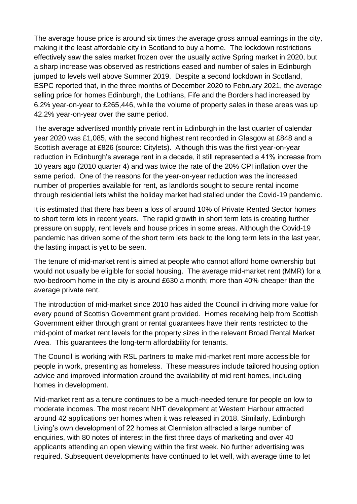The average house price is around six times the average gross annual earnings in the city, making it the least affordable city in Scotland to buy a home. The lockdown restrictions effectively saw the sales market frozen over the usually active Spring market in 2020, but a sharp increase was observed as restrictions eased and number of sales in Edinburgh jumped to levels well above Summer 2019. Despite a second lockdown in Scotland, ESPC reported that, in the three months of December 2020 to February 2021, the average selling price for homes Edinburgh, the Lothians, Fife and the Borders had increased by 6.2% year-on-year to £265,446, while the volume of property sales in these areas was up 42.2% year-on-year over the same period.

The average advertised monthly private rent in Edinburgh in the last quarter of calendar year 2020 was £1,085, with the second highest rent recorded in Glasgow at £848 and a Scottish average at £826 (source: Citylets). Although this was the first year-on-year reduction in Edinburgh's average rent in a decade, it still represented a 41% increase from 10 years ago (2010 quarter 4) and was twice the rate of the 20% CPI inflation over the same period. One of the reasons for the year-on-year reduction was the increased number of properties available for rent, as landlords sought to secure rental income through residential lets whilst the holiday market had stalled under the Covid-19 pandemic.

It is estimated that there has been a loss of around 10% of Private Rented Sector homes to short term lets in recent years. The rapid growth in short term lets is creating further pressure on supply, rent levels and house prices in some areas. Although the Covid-19 pandemic has driven some of the short term lets back to the long term lets in the last year, the lasting impact is yet to be seen.

The tenure of mid-market rent is aimed at people who cannot afford home ownership but would not usually be eligible for social housing. The average mid-market rent (MMR) for a two-bedroom home in the city is around £630 a month; more than 40% cheaper than the average private rent.

The introduction of mid-market since 2010 has aided the Council in driving more value for every pound of Scottish Government grant provided. Homes receiving help from Scottish Government either through grant or rental guarantees have their rents restricted to the mid-point of market rent levels for the property sizes in the relevant Broad Rental Market Area. This guarantees the long-term affordability for tenants.

The Council is working with RSL partners to make mid-market rent more accessible for people in work, presenting as homeless. These measures include tailored housing option advice and improved information around the availability of mid rent homes, including homes in development.

Mid-market rent as a tenure continues to be a much-needed tenure for people on low to moderate incomes. The most recent NHT development at Western Harbour attracted around 42 applications per homes when it was released in 2018. Similarly, Edinburgh Living's own development of 22 homes at Clermiston attracted a large number of enquiries, with 80 notes of interest in the first three days of marketing and over 40 applicants attending an open viewing within the first week. No further advertising was required. Subsequent developments have continued to let well, with average time to let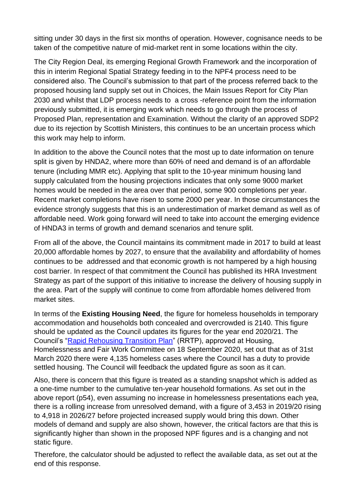sitting under 30 days in the first six months of operation. However, cognisance needs to be taken of the competitive nature of mid-market rent in some locations within the city.

The City Region Deal, its emerging Regional Growth Framework and the incorporation of this in interim Regional Spatial Strategy feeding in to the NPF4 process need to be considered also. The Council's submission to that part of the process referred back to the proposed housing land supply set out in Choices, the Main Issues Report for City Plan 2030 and whilst that LDP process needs to a cross -reference point from the information previously submitted, it is emerging work which needs to go through the process of Proposed Plan, representation and Examination. Without the clarity of an approved SDP2 due to its rejection by Scottish Ministers, this continues to be an uncertain process which this work may help to inform.

In addition to the above the Council notes that the most up to date information on tenure split is given by HNDA2, where more than 60% of need and demand is of an affordable tenure (including MMR etc). Applying that split to the 10-year minimum housing land supply calculated from the housing projections indicates that only some 9000 market homes would be needed in the area over that period, some 900 completions per year. Recent market completions have risen to some 2000 per year. In those circumstances the evidence strongly suggests that this is an underestimation of market demand as well as of affordable need. Work going forward will need to take into account the emerging evidence of HNDA3 in terms of growth and demand scenarios and tenure split.

From all of the above, the Council maintains its commitment made in 2017 to build at least 20,000 affordable homes by 2027, to ensure that the availability and affordability of homes continues to be addressed and that economic growth is not hampered by a high housing cost barrier. In respect of that commitment the Council has published its HRA Investment Strategy as part of the support of this initiative to increase the delivery of housing supply in the area. Part of the supply will continue to come from affordable homes delivered from market sites.

In terms of the **Existing Housing Need**, the figure for homeless households in temporary accommodation and households both concealed and overcrowded is 2140. This figure should be updated as the Council updates its figures for the year end 2020/21. The Council's ["Rapid Rehousing Transition Plan"](https://democracy.edinburgh.gov.uk/documents/s26277/Rapid%20Rehousing%20Transition%20Plan%20Report.pdf) (RRTP), approved at Housing, Homelessness and Fair Work Committee on 18 September 2020, set out that as of 31st March 2020 there were 4,135 homeless cases where the Council has a duty to provide settled housing. The Council will feedback the updated figure as soon as it can.

Also, there is concern that this figure is treated as a standing snapshot which is added as a one-time number to the cumulative ten-year household formations. As set out in the above report (p54), even assuming no increase in homelessness presentations each yea, there is a rolling increase from unresolved demand, with a figure of 3,453 in 2019/20 rising to 4,918 in 2026/27 before projected increased supply would bring this down. Other models of demand and supply are also shown, however, the critical factors are that this is significantly higher than shown in the proposed NPF figures and is a changing and not static figure.

Therefore, the calculator should be adjusted to reflect the available data, as set out at the end of this response.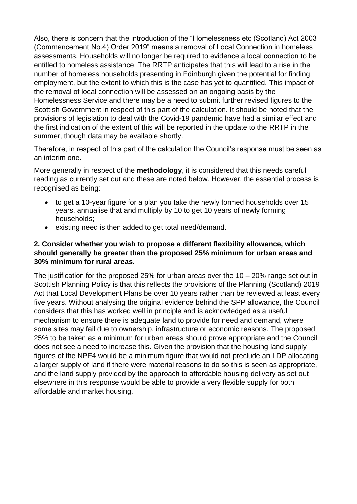Also, there is concern that the introduction of the "Homelessness etc (Scotland) Act 2003 (Commencement No.4) Order 2019" means a removal of Local Connection in homeless assessments. Households will no longer be required to evidence a local connection to be entitled to homeless assistance. The RRTP anticipates that this will lead to a rise in the number of homeless households presenting in Edinburgh given the potential for finding employment, but the extent to which this is the case has yet to quantified. This impact of the removal of local connection will be assessed on an ongoing basis by the Homelessness Service and there may be a need to submit further revised figures to the Scottish Government in respect of this part of the calculation. It should be noted that the provisions of legislation to deal with the Covid-19 pandemic have had a similar effect and the first indication of the extent of this will be reported in the update to the RRTP in the summer, though data may be available shortly.

Therefore, in respect of this part of the calculation the Council's response must be seen as an interim one.

More generally in respect of the **methodology**, it is considered that this needs careful reading as currently set out and these are noted below. However, the essential process is recognised as being:

- to get a 10-year figure for a plan you take the newly formed households over 15 years, annualise that and multiply by 10 to get 10 years of newly forming households;
- existing need is then added to get total need/demand.

#### **2. Consider whether you wish to propose a different flexibility allowance, which should generally be greater than the proposed 25% minimum for urban areas and 30% minimum for rural areas.**

The justification for the proposed 25% for urban areas over the  $10 - 20\%$  range set out in Scottish Planning Policy is that this reflects the provisions of the Planning (Scotland) 2019 Act that Local Development Plans be over 10 years rather than be reviewed at least every five years. Without analysing the original evidence behind the SPP allowance, the Council considers that this has worked well in principle and is acknowledged as a useful mechanism to ensure there is adequate land to provide for need and demand, where some sites may fail due to ownership, infrastructure or economic reasons. The proposed 25% to be taken as a minimum for urban areas should prove appropriate and the Council does not see a need to increase this. Given the provision that the housing land supply figures of the NPF4 would be a minimum figure that would not preclude an LDP allocating a larger supply of land if there were material reasons to do so this is seen as appropriate, and the land supply provided by the approach to affordable housing delivery as set out elsewhere in this response would be able to provide a very flexible supply for both affordable and market housing.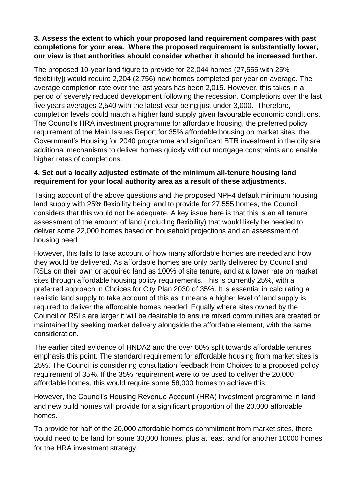#### **3. Assess the extent to which your proposed land requirement compares with past completions for your area. Where the proposed requirement is substantially lower, our view is that authorities should consider whether it should be increased further.**

The proposed 10-year land figure to provide for 22,044 homes (27,555 with 25% flexibility]) would require 2,204 (2,756) new homes completed per year on average. The average completion rate over the last years has been 2,015. However, this takes in a period of severely reduced development following the recession. Completions over the last five years averages 2,540 with the latest year being just under 3,000. Therefore, completion levels could match a higher land supply given favourable economic conditions. The Council's HRA investment programme for affordable housing, the preferred policy requirement of the Main Issues Report for 35% affordable housing on market sites, the Government's Housing for 2040 programme and significant BTR investment in the city are additional mechanisms to deliver homes quickly without mortgage constraints and enable higher rates of completions.

#### **4. Set out a locally adjusted estimate of the minimum all-tenure housing land requirement for your local authority area as a result of these adjustments.**

Taking account of the above questions and the proposed NPF4 default minimum housing land supply with 25% flexibility being land to provide for 27,555 homes, the Council considers that this would not be adequate. A key issue here is that this is an all tenure assessment of the amount of land (including flexibility) that would likely be needed to deliver some 22,000 homes based on household projections and an assessment of housing need.

However, this fails to take account of how many affordable homes are needed and how they would be delivered. As affordable homes are only partly delivered by Council and RSLs on their own or acquired land as 100% of site tenure, and at a lower rate on market sites through affordable housing policy requirements. This is currently 25%, with a preferred approach in Choices for City Plan 2030 of 35%. It is essential in calculating a realistic land supply to take account of this as it means a higher level of land supply is required to deliver the affordable homes needed. Equally where sites owned by the Council or RSLs are larger it will be desirable to ensure mixed communities are created or maintained by seeking market delivery alongside the affordable element, with the same consideration.

The earlier cited evidence of HNDA2 and the over 60% split towards affordable tenures emphasis this point. The standard requirement for affordable housing from market sites is 25%. The Council is considering consultation feedback from Choices to a proposed policy requirement of 35%. If the 35% requirement were to be used to deliver the 20,000 affordable homes, this would require some 58,000 homes to achieve this.

However, the Council's Housing Revenue Account (HRA) investment programme in land and new build homes will provide for a significant proportion of the 20,000 affordable homes.

To provide for half of the 20,000 affordable homes commitment from market sites, there would need to be land for some 30,000 homes, plus at least land for another 10000 homes for the HRA investment strategy.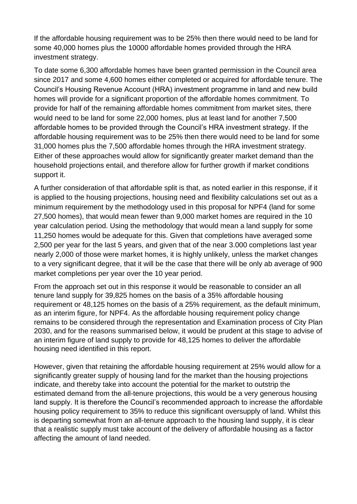If the affordable housing requirement was to be 25% then there would need to be land for some 40,000 homes plus the 10000 affordable homes provided through the HRA investment strategy.

To date some 6,300 affordable homes have been granted permission in the Council area since 2017 and some 4,600 homes either completed or acquired for affordable tenure. The Council's Housing Revenue Account (HRA) investment programme in land and new build homes will provide for a significant proportion of the affordable homes commitment. To provide for half of the remaining affordable homes commitment from market sites, there would need to be land for some 22,000 homes, plus at least land for another 7,500 affordable homes to be provided through the Council's HRA investment strategy. If the affordable housing requirement was to be 25% then there would need to be land for some 31,000 homes plus the 7,500 affordable homes through the HRA investment strategy. Either of these approaches would allow for significantly greater market demand than the household projections entail, and therefore allow for further growth if market conditions support it.

A further consideration of that affordable split is that, as noted earlier in this response, if it is applied to the housing projections, housing need and flexibility calculations set out as a minimum requirement by the methodology used in this proposal for NPF4 (land for some 27,500 homes), that would mean fewer than 9,000 market homes are required in the 10 year calculation period. Using the methodology that would mean a land supply for some 11,250 homes would be adequate for this. Given that completions have averaged some 2,500 per year for the last 5 years, and given that of the near 3.000 completions last year nearly 2,000 of those were market homes, it is highly unlikely, unless the market changes to a very significant degree, that it will be the case that there will be only ab average of 900 market completions per year over the 10 year period.

From the approach set out in this response it would be reasonable to consider an all tenure land supply for 39,825 homes on the basis of a 35% affordable housing requirement or 48,125 homes on the basis of a 25% requirement, as the default minimum, as an interim figure, for NPF4. As the affordable housing requirement policy change remains to be considered through the representation and Examination process of City Plan 2030, and for the reasons summarised below, it would be prudent at this stage to advise of an interim figure of land supply to provide for 48,125 homes to deliver the affordable housing need identified in this report.

However, given that retaining the affordable housing requirement at 25% would allow for a significantly greater supply of housing land for the market than the housing projections indicate, and thereby take into account the potential for the market to outstrip the estimated demand from the all-tenure projections, this would be a very generous housing land supply. It is therefore the Council's recommended approach to increase the affordable housing policy requirement to 35% to reduce this significant oversupply of land. Whilst this is departing somewhat from an all-tenure approach to the housing land supply, it is clear that a realistic supply must take account of the delivery of affordable housing as a factor affecting the amount of land needed.